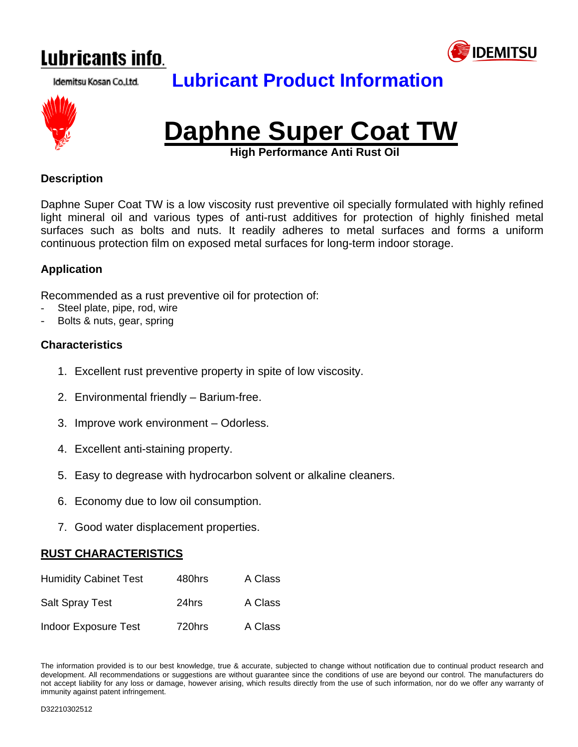





# **Lubricant Product Information**



**High Performance Anti Rust Oil** 

#### **Description**

Daphne Super Coat TW is a low viscosity rust preventive oil specially formulated with highly refined light mineral oil and various types of anti-rust additives for protection of highly finished metal surfaces such as bolts and nuts. It readily adheres to metal surfaces and forms a uniform continuous protection film on exposed metal surfaces for long-term indoor storage.

#### **Application**

Recommended as a rust preventive oil for protection of:

- Steel plate, pipe, rod, wire
- Bolts & nuts, gear, spring

#### **Characteristics**

- 1. Excellent rust preventive property in spite of low viscosity.
- 2. Environmental friendly Barium-free.
- 3. Improve work environment Odorless.
- 4. Excellent anti-staining property.
- 5. Easy to degrease with hydrocarbon solvent or alkaline cleaners.
- 6. Economy due to low oil consumption.
- 7. Good water displacement properties.

#### **RUST CHARACTERISTICS**

| <b>Humidity Cabinet Test</b> | 480hrs | A Class |
|------------------------------|--------|---------|
| <b>Salt Spray Test</b>       | 24hrs  | A Class |
| <b>Indoor Exposure Test</b>  | 720hrs | A Class |

The information provided is to our best knowledge, true & accurate, subjected to change without notification due to continual product research and development. All recommendations or suggestions are without guarantee since the conditions of use are beyond our control. The manufacturers do not accept liability for any loss or damage, however arising, which results directly from the use of such information, nor do we offer any warranty of immunity against patent infringement.